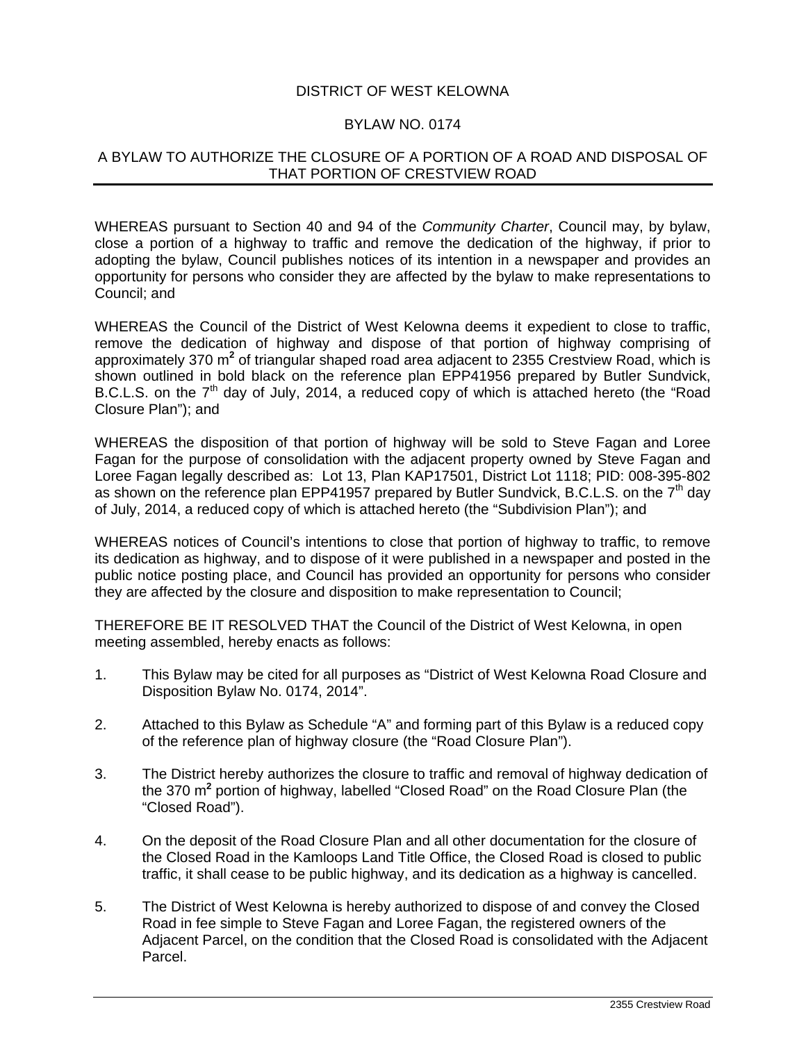## DISTRICT OF WEST KELOWNA

## BYLAW NO. 0174

## A BYLAW TO AUTHORIZE THE CLOSURE OF A PORTION OF A ROAD AND DISPOSAL OF THAT PORTION OF CRESTVIEW ROAD

WHEREAS pursuant to Section 40 and 94 of the *Community Charter*, Council may, by bylaw, close a portion of a highway to traffic and remove the dedication of the highway, if prior to adopting the bylaw, Council publishes notices of its intention in a newspaper and provides an opportunity for persons who consider they are affected by the bylaw to make representations to Council; and

WHEREAS the Council of the District of West Kelowna deems it expedient to close to traffic, remove the dedication of highway and dispose of that portion of highway comprising of approximately 370 m<sup>2</sup> of triangular shaped road area adjacent to 2355 Crestview Road, which is shown outlined in bold black on the reference plan EPP41956 prepared by Butler Sundvick, B.C.L.S. on the  $7<sup>th</sup>$  day of July, 2014, a reduced copy of which is attached hereto (the "Road Closure Plan"); and

WHEREAS the disposition of that portion of highway will be sold to Steve Fagan and Loree Fagan for the purpose of consolidation with the adjacent property owned by Steve Fagan and Loree Fagan legally described as: Lot 13, Plan KAP17501, District Lot 1118; PID: 008-395-802 as shown on the reference plan EPP41957 prepared by Butler Sundvick, B.C.L.S. on the  $7<sup>th</sup>$  day of July, 2014, a reduced copy of which is attached hereto (the "Subdivision Plan"); and

WHEREAS notices of Council's intentions to close that portion of highway to traffic, to remove its dedication as highway, and to dispose of it were published in a newspaper and posted in the public notice posting place, and Council has provided an opportunity for persons who consider they are affected by the closure and disposition to make representation to Council;

THEREFORE BE IT RESOLVED THAT the Council of the District of West Kelowna, in open meeting assembled, hereby enacts as follows:

- 1. This Bylaw may be cited for all purposes as "District of West Kelowna Road Closure and Disposition Bylaw No. 0174, 2014".
- 2. Attached to this Bylaw as Schedule "A" and forming part of this Bylaw is a reduced copy of the reference plan of highway closure (the "Road Closure Plan").
- 3. The District hereby authorizes the closure to traffic and removal of highway dedication of the 370 m<sup>2</sup> portion of highway, labelled "Closed Road" on the Road Closure Plan (the "Closed Road").
- 4. On the deposit of the Road Closure Plan and all other documentation for the closure of the Closed Road in the Kamloops Land Title Office, the Closed Road is closed to public traffic, it shall cease to be public highway, and its dedication as a highway is cancelled.
- 5. The District of West Kelowna is hereby authorized to dispose of and convey the Closed Road in fee simple to Steve Fagan and Loree Fagan, the registered owners of the Adjacent Parcel, on the condition that the Closed Road is consolidated with the Adjacent Parcel.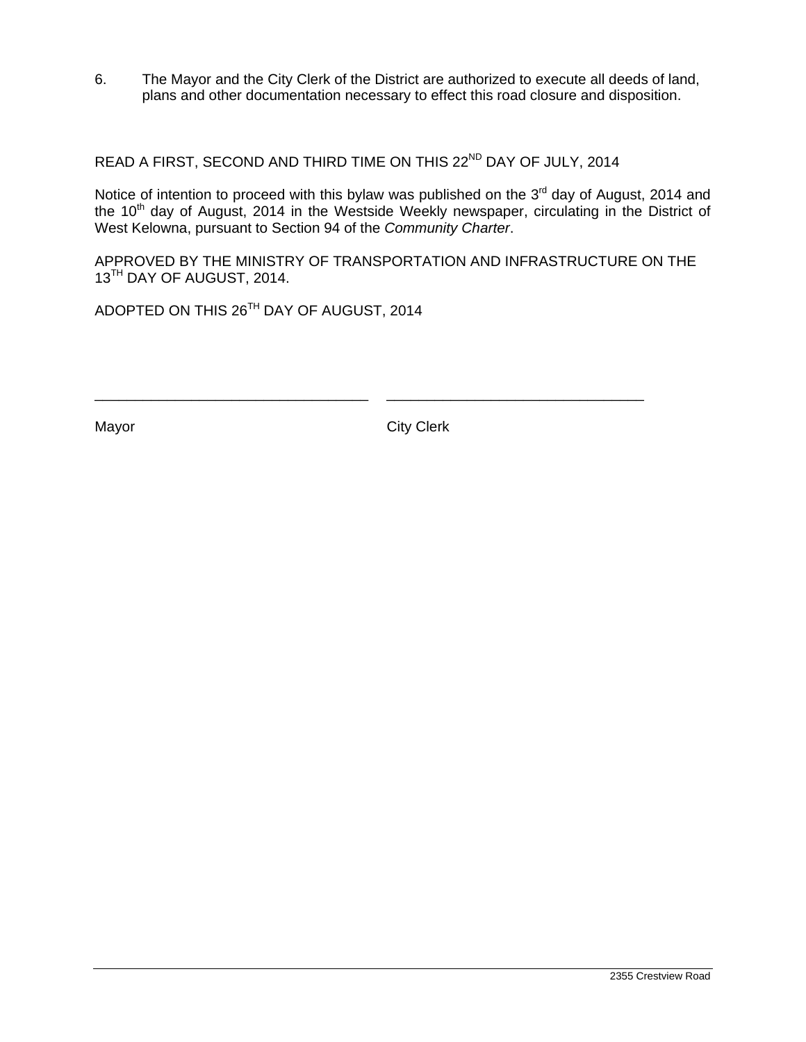6. The Mayor and the City Clerk of the District are authorized to execute all deeds of land, plans and other documentation necessary to effect this road closure and disposition.

READ A FIRST, SECOND AND THIRD TIME ON THIS 22<sup>ND</sup> DAY OF JULY, 2014

Notice of intention to proceed with this bylaw was published on the  $3<sup>rd</sup>$  day of August, 2014 and the 10<sup>th</sup> day of August, 2014 in the Westside Weekly newspaper, circulating in the District of West Kelowna, pursuant to Section 94 of the *Community Charter*.

APPROVED BY THE MINISTRY OF TRANSPORTATION AND INFRASTRUCTURE ON THE 13<sup>TH</sup> DAY OF AUGUST, 2014.

\_\_\_\_\_\_\_\_\_\_\_\_\_\_\_\_\_\_\_\_\_\_\_\_\_\_\_\_\_\_\_\_\_\_ \_\_\_\_\_\_\_\_\_\_\_\_\_\_\_\_\_\_\_\_\_\_\_\_\_\_\_\_\_\_\_\_

ADOPTED ON THIS 26TH DAY OF AUGUST, 2014

Mayor **City Clerk**